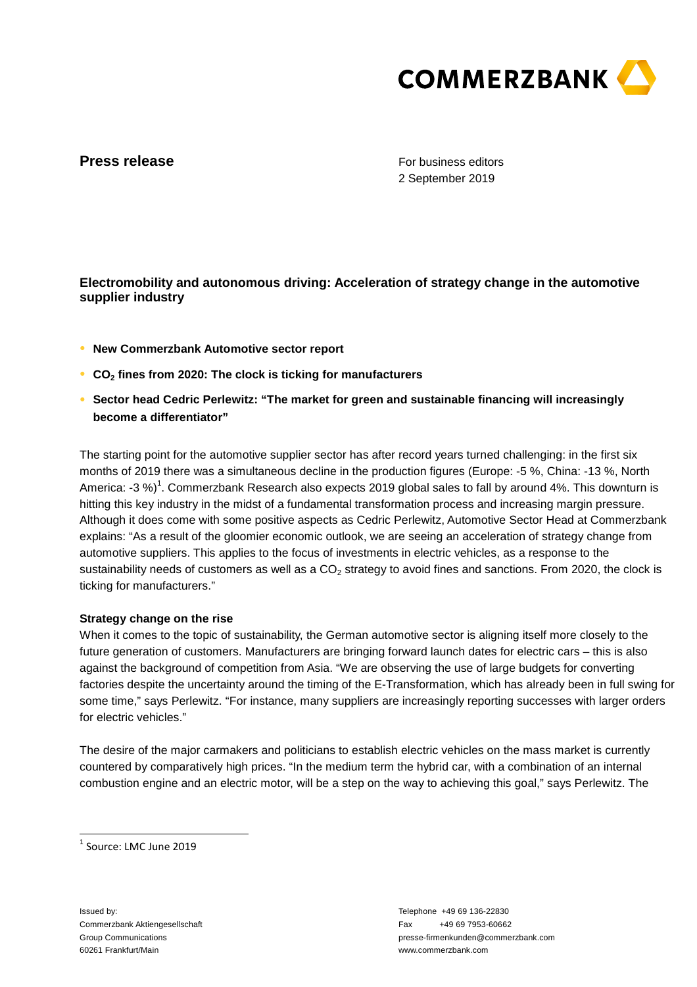

## **Press release**

For business editors 2 September 2019

# **Electromobility and autonomous driving: Acceleration of strategy change in the automotive supplier industry**

- **● New Commerzbank Automotive sector report**
- **● CO2 fines from 2020: The clock is ticking for manufacturers**
- **● Sector head Cedric Perlewitz: "The market for green and sustainable financing will increasingly become a differentiator"**

The starting point for the automotive supplier sector has after record years turned challenging: in the first six months of 2019 there was a simultaneous decline in the production figures (Europe: -5 %, China: -13 %, North America: -3 %)<sup>1</sup>. Commerzbank Research also expects 2019 global sales to fall by around 4%. This downturn is hitting this key industry in the midst of a fundamental transformation process and increasing margin pressure. Although it does come with some positive aspects as Cedric Perlewitz, Automotive Sector Head at Commerzbank explains: "As a result of the gloomier economic outlook, we are seeing an acceleration of strategy change from automotive suppliers. This applies to the focus of investments in electric vehicles, as a response to the sustainability needs of customers as well as a  $CO<sub>2</sub>$  strategy to avoid fines and sanctions. From 2020, the clock is ticking for manufacturers."

### **Strategy change on the rise**

When it comes to the topic of sustainability, the German automotive sector is aligning itself more closely to the future generation of customers. Manufacturers are bringing forward launch dates for electric cars – this is also against the background of competition from Asia. "We are observing the use of large budgets for converting factories despite the uncertainty around the timing of the E-Transformation, which has already been in full swing for some time," says Perlewitz. "For instance, many suppliers are increasingly reporting successes with larger orders for electric vehicles."

The desire of the major carmakers and politicians to establish electric vehicles on the mass market is currently countered by comparatively high prices. "In the medium term the hybrid car, with a combination of an internal combustion engine and an electric motor, will be a step on the way to achieving this goal," says Perlewitz. The

1 Source: LMC June 2019

Issued by: Commerzbank Aktiengesellschaft Group Communications 60261 Frankfurt/Main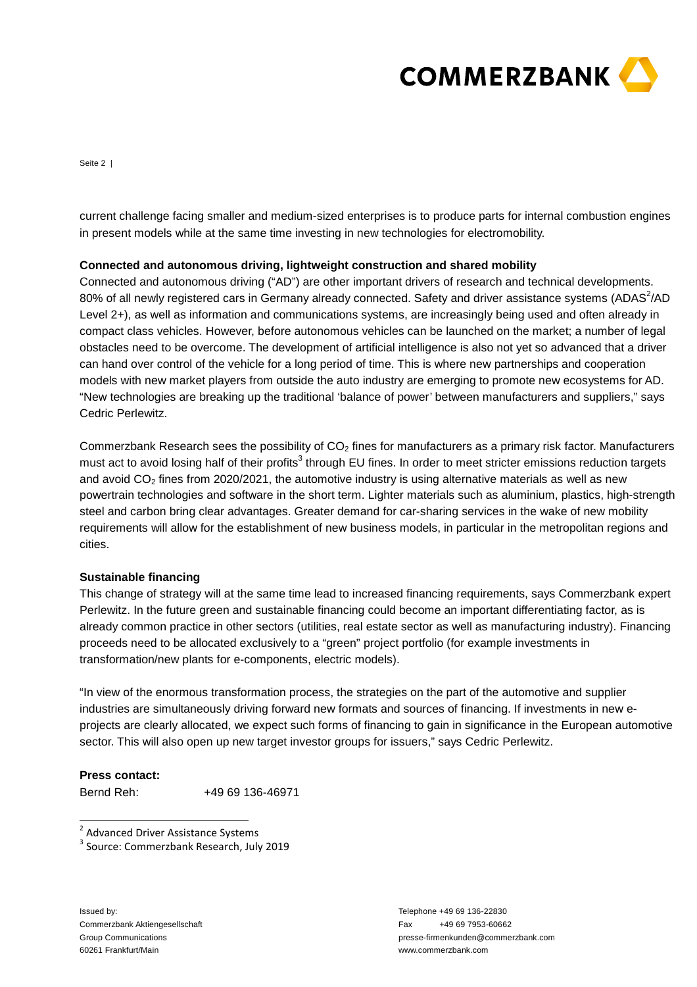

Seite 2 |

current challenge facing smaller and medium-sized enterprises is to produce parts for internal combustion engines in present models while at the same time investing in new technologies for electromobility.

#### **Connected and autonomous driving, lightweight construction and shared mobility**

Connected and autonomous driving ("AD") are other important drivers of research and technical developments. 80% of all newly registered cars in Germany already connected. Safety and driver assistance systems (ADAS<sup>2</sup>/AD Level 2+), as well as information and communications systems, are increasingly being used and often already in compact class vehicles. However, before autonomous vehicles can be launched on the market; a number of legal obstacles need to be overcome. The development of artificial intelligence is also not yet so advanced that a driver can hand over control of the vehicle for a long period of time. This is where new partnerships and cooperation models with new market players from outside the auto industry are emerging to promote new ecosystems for AD. "New technologies are breaking up the traditional 'balance of power' between manufacturers and suppliers," says Cedric Perlewitz.

Commerzbank Research sees the possibility of  $CO<sub>2</sub>$  fines for manufacturers as a primary risk factor. Manufacturers must act to avoid losing half of their profits<sup>3</sup> through EU fines. In order to meet stricter emissions reduction targets and avoid  $CO<sub>2</sub>$  fines from 2020/2021, the automotive industry is using alternative materials as well as new powertrain technologies and software in the short term. Lighter materials such as aluminium, plastics, high-strength steel and carbon bring clear advantages. Greater demand for car-sharing services in the wake of new mobility requirements will allow for the establishment of new business models, in particular in the metropolitan regions and cities.

#### **Sustainable financing**

This change of strategy will at the same time lead to increased financing requirements, says Commerzbank expert Perlewitz. In the future green and sustainable financing could become an important differentiating factor, as is already common practice in other sectors (utilities, real estate sector as well as manufacturing industry). Financing proceeds need to be allocated exclusively to a "green" project portfolio (for example investments in transformation/new plants for e-components, electric models).

"In view of the enormous transformation process, the strategies on the part of the automotive and supplier industries are simultaneously driving forward new formats and sources of financing. If investments in new eprojects are clearly allocated, we expect such forms of financing to gain in significance in the European automotive sector. This will also open up new target investor groups for issuers," says Cedric Perlewitz.

### **Press contact:**

Bernd Reh: +49 69 136-46971

<u>a</u><br><sup>2</sup> Advanced Driver Assistance Systems

Issued by: Commerzbank Aktiengesellschaft Group Communications 60261 Frankfurt/Main

<sup>&</sup>lt;sup>3</sup> Source: Commerzbank Research, July 2019